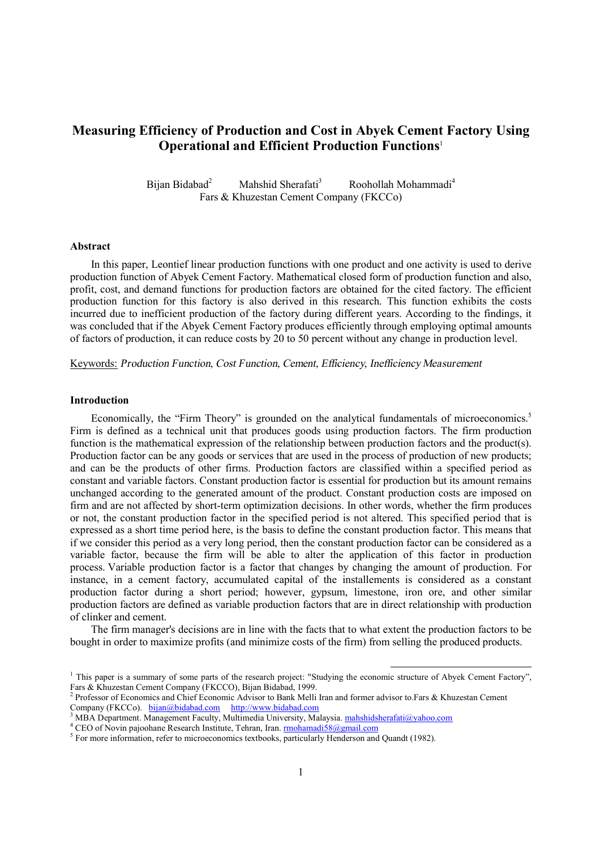# **Measuring Efficiency of Production and Cost in Abyek Cement Factory Using Operational and Efficient Production Functions**<sup>1</sup>

Bijan Bidabad<sup>2</sup> Mahshid Sherafati<sup>3</sup> Roohollah Mohammadi<sup>4</sup> Fars & Khuzestan Cement Company (FKCCo)

#### **Abstract**

In this paper, Leontief linear production functions with one product and one activity is used to derive production function of Abyek Cement Factory. Mathematical closed form of production function and also, profit, cost, and demand functions for production factors are obtained for the cited factory. The efficient production function for this factory is also derived in this research. This function exhibits the costs incurred due to inefficient production of the factory during different years. According to the findings, it was concluded that if the Abyek Cement Factory produces efficiently through employing optimal amounts of factors of production, it can reduce costs by 20 to 50 percent without any change in production level.

Keywords: *Production Function, Cost Function, Cement, Ef iciency, Inefficiency Measurement*

#### **Introduction**

Economically, the "Firm Theory" is grounded on the analytical fundamentals of microeconomics.<sup>5</sup> Firm is defined as a technical unit that produces goods using production factors. The firm production function is the mathematical expression of the relationship between production factors and the product(s). Production factor can be any goods or services that are used in the process of production of new products; and can be the products of other firms. Production factors are classified within a specified period as constant and variable factors. Constant production factor is essential for production but its amount remains unchanged according to the generated amount of the product. Constant production costs are imposed on firm and are not affected by short-term optimization decisions. In other words, whether the firm produces or not, the constant production factor in the specified period is not altered. This specified period that is expressed as a short time period here, is the basis to define the constant production factor. This means that if we consider this period as a very long period, then the constant production factor can be considered as a variable factor, because the firm will be able to alter the application of this factor in production process. Variable production factor is a factor that changes by changing the amount of production. For instance, in a cement factory, accumulated capital of the installements is considered as a constant production factor during a short period; however, gypsum, limestone, iron ore, and other similar production factors are defined as variable production factors that are in direct relationship with production of clinker and cement.

The firm manager's decisions are in line with the facts that to what extent the production factors to be bought in order to maximize profits (and minimize costs of the firm) from selling the produced products.

<sup>&</sup>lt;sup>1</sup> This paper is a summary of some parts of the research project: "Studying the economic structure of Abyek Cement Factory", Fars & Khuzestan Cement Company (FKCCO), Bijan Bidabad, 1999.

<sup>&</sup>lt;sup>2</sup> Professor of Economics and Chief Economic Advisor to Bank Melli Iran and former advisor to.Fars & Khuzestan Cement Company (FKCCo). [bijan@bidabad.com](mailto:bijan@bidabad.com) <http://www.bidabad.com>

<sup>&</sup>lt;sup>3</sup> MBA Department. Management Faculty, Multimedia University, Malaysia. [mahshidsherafati@yahoo.com](mailto:mahshidsherafati@yahoo.com)

<sup>&</sup>lt;sup>4</sup> CEO of Novin pajoohane Research Institute, Tehran, Iran. *rmohamadi58@gmail.com* 

<sup>&</sup>lt;sup>5</sup> For more information, refer to microeconomics textbooks, particularly Henderson and Quandt (1982).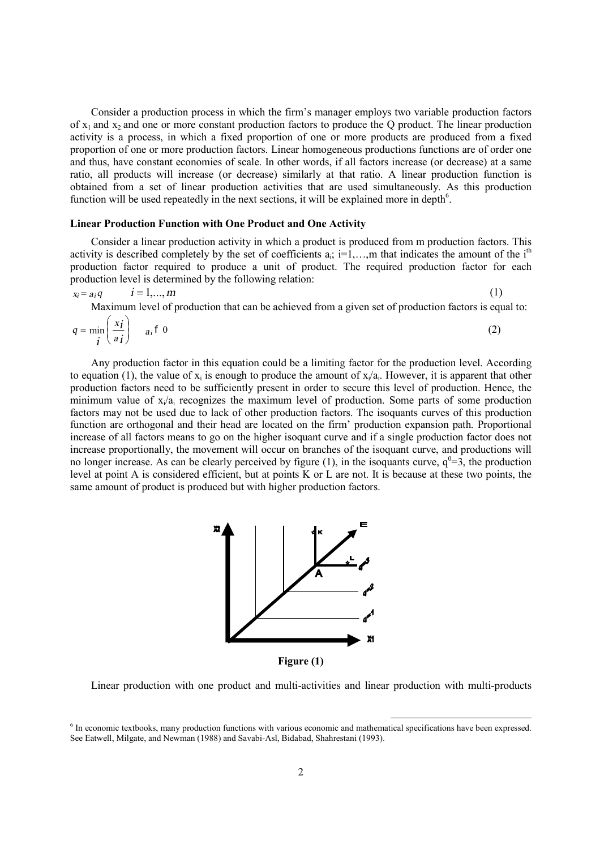Consider a production process in which the firm's manager employs two variable production factors of  $x_1$  and  $x_2$  and one or more constant production factors to produce the Q product. The linear production activity is a process, in which a fixed proportion of one or more products are produced from a fixed proportion of one or more production factors. Linear homogeneous productions functions are of order one and thus, have constant economies of scale. In other words, if all factors increase (or decrease) at a same ratio, all products will increase (or decrease) similarly at that ratio. A linear production function is obtained from a set of linear production activities that are used simultaneously. As this production function will be used repeatedly in the next sections, it will be explained more in depth $6$ .

#### **Linear Production Function with One Product and One Activity**

Consider a linear production activity in which a product is produced from m production factors. This activity is described completely by the set of coefficients  $a_i$ ; i=1,...,m that indicates the amount of the i<sup>th</sup> production factor required to produce a unit of product. The required production factor for each production level is determined by the following relation:

$$
x_i = a_i q
$$
  $i = 1,...,m$  (1)

Maximum level of production that can be achieved from a given set of production factors is equal to:

$$
q = \min_{\mathbf{i}} \left( \frac{x_{\mathbf{i}}}{a_{\mathbf{i}}} \right) \quad a_{\mathbf{i}} \mathbf{f} \mathbf{0} \tag{2}
$$

Any production factor in this equation could be a limiting factor for the production level. According to equation (1), the value of  $x_i$  is enough to produce the amount of  $x_i/a_i$ . However, it is apparent that other production factors need to be sufficiently present in order to secure this level of production. Hence, the minimum value of  $x_i/a_i$  recognizes the maximum level of production. Some parts of some production factors may not be used due to lack of other production factors. The isoquants curves of this production function are orthogonal and their head are located on the firm' production expansion path. Proportional increase of all factors means to go on the higher isoquant curve and if a single production factor does not increase proportionally, the movement will occur on branches of the isoquant curve, and productions will no longer increase. As can be clearly perceived by figure (1), in the isoquants curve,  $q^0 = 3$ , the production level at point A is considered efficient, but at points K or L are not. It is because at these two points, the same amount of product is produced but with higher production factors.



Linear production with one product and multi-activities and linear production with multi-products

<sup>&</sup>lt;sup>6</sup> In economic textbooks, many production functions with various economic and mathematical specifications have been expressed. See Eatwell, Milgate, and Newman (1988) and Savabi-Asl, Bidabad, Shahrestani (1993).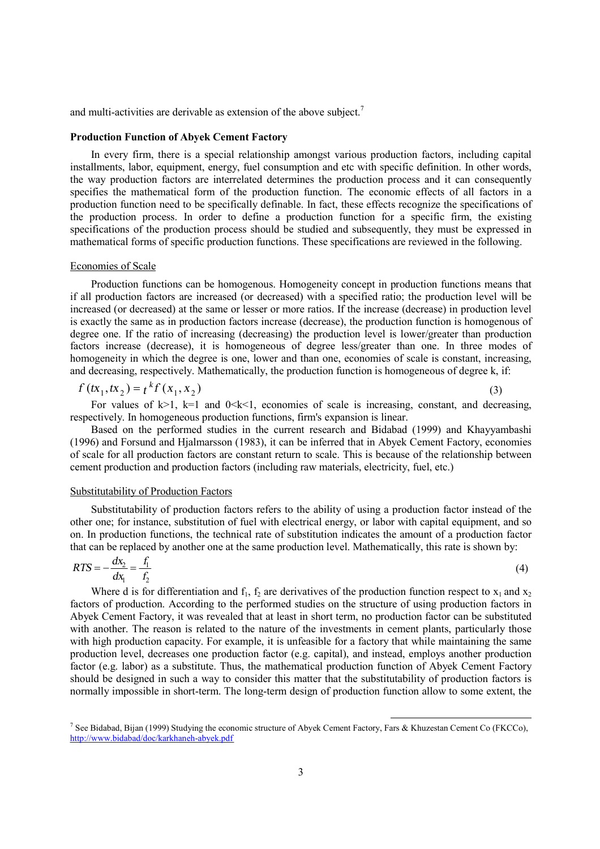and multi-activities are derivable as extension of the above subject.<sup>7</sup>

#### **Production Function of Abyek Cement Factory**

In every firm, there is a special relationship amongst various production factors, including capital installments, labor, equipment, energy, fuel consumption and etc with specific definition. In other words, the way production factors are interrelated determines the production process and it can consequently specifies the mathematical form of the production function. The economic effects of all factors in a production function need to be specifically definable. In fact, these effects recognize the specifications of the production process. In order to define a production function for a specific firm, the existing specifications of the production process should be studied and subsequently, they must be expressed in mathematical forms of specific production functions. These specifications are reviewed in the following.

### Economies of Scale

Production functions can be homogenous. Homogeneity concept in production functions means that if all production factors are increased (or decreased) with a specified ratio; the production level will be increased (or decreased) at the same or lesser or more ratios. If the increase (decrease) in production level is exactly the same as in production factors increase (decrease), the production function is homogenous of degree one. If the ratio of increasing (decreasing) the production level is lower/greater than production factors increase (decrease), it is homogeneous of degree less/greater than one. In three modes of homogeneity in which the degree is one, lower and than one, economies of scale is constant, increasing, and decreasing, respectively. Mathematically, the production function is homogeneous of degree k, if:

$$
f(tx_1, tx_2) = t^k f(x_1, x_2)
$$
\n(3)

For values of  $k>1$ ,  $k=1$  and  $0\le k\le 1$ , economies of scale is increasing, constant, and decreasing, respectively. In homogeneous production functions, firm's expansion is linear.

Based on the performed studies in the current research and Bidabad (1999) and Khayyambashi (1996) and Forsund and Hjalmarsson (1983), it can be inferred that in Abyek Cement Factory, economies of scale for all production factors are constant return to scale. This is because of the relationship between cement production and production factors (including raw materials, electricity, fuel, etc.)

## Substitutability of Production Factors

Substitutability of production factors refers to the ability of using a production factor instead of the other one; for instance, substitution of fuel with electrical energy, or labor with capital equipment, and so on. In production functions, the technical rate of substitution indicates the amount of a production factor that can be replaced by another one at the same production level. Mathematically, this rate is shown by:

$$
RTS = -\frac{dx_2}{dx_1} = \frac{f_1}{f_2}
$$
 (4)

Where d is for differentiation and  $f_1$ ,  $f_2$  are derivatives of the production function respect to  $x_1$  and  $x_2$ factors of production. According to the performed studies on the structure of using production factors in Abyek Cement Factory, it was revealed that at least in short term, no production factor can be substituted with another. The reason is related to the nature of the investments in cement plants, particularly those with high production capacity. For example, it is unfeasible for a factory that while maintaining the same production level, decreases one production factor (e.g. capital), and instead, employs another production factor (e.g. labor) as a substitute. Thus, the mathematical production function of Abyek Cement Factory should be designed in such a way to consider this matter that the substitutability of production factors is normally impossible in short-term. The long-term design of production function allow to some extent, the

<sup>&</sup>lt;sup>7</sup> See Bidabad, Bijan (1999) Studying the economic structure of Abyek Cement Factory, Fars & Khuzestan Cement Co (FKCCo), <http://www.bidabad/doc/karkhaneh-abyek.pdf>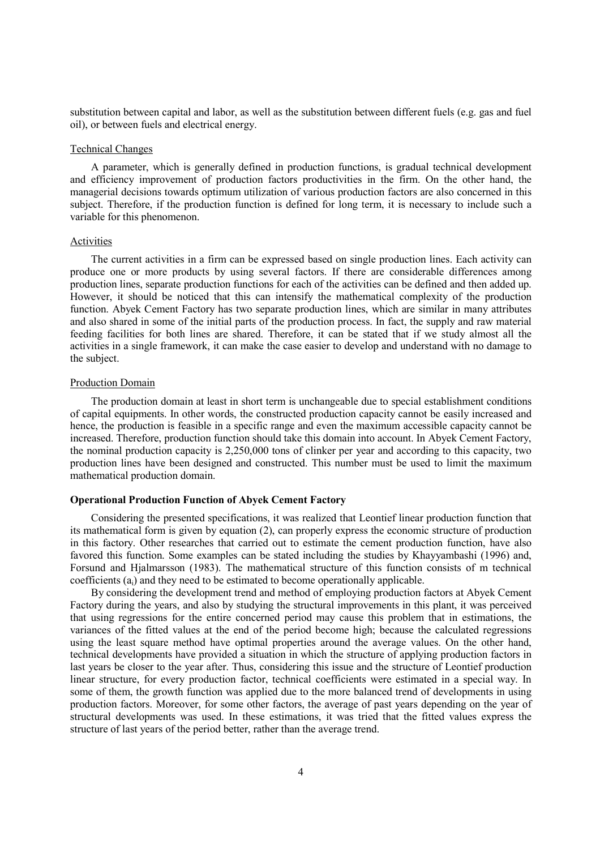substitution between capital and labor, as well as the substitution between different fuels (e.g. gas and fuel oil), or between fuels and electrical energy.

#### Technical Changes

A parameter, which is generally defined in production functions, is gradual technical development and efficiency improvement of production factors productivities in the firm. On the other hand, the managerial decisions towards optimum utilization of various production factors are also concerned in this subject. Therefore, if the production function is defined for long term, it is necessary to include such a variable for this phenomenon.

#### Activities

The current activities in a firm can be expressed based on single production lines. Each activity can produce one or more products by using several factors. If there are considerable differences among production lines, separate production functions for each of the activities can be defined and then added up. However, it should be noticed that this can intensify the mathematical complexity of the production function. Abyek Cement Factory has two separate production lines, which are similar in many attributes and also shared in some of the initial parts of the production process. In fact, the supply and raw material feeding facilities for both lines are shared. Therefore, it can be stated that if we study almost all the activities in a single framework, it can make the case easier to develop and understand with no damage to the subject.

#### Production Domain

The production domain at least in short term is unchangeable due to special establishment conditions of capital equipments. In other words, the constructed production capacity cannot be easily increased and hence, the production is feasible in a specific range and even the maximum accessible capacity cannot be increased. Therefore, production function should take this domain into account. In Abyek Cement Factory, the nominal production capacity is 2,250,000 tons of clinker per year and according to this capacity, two production lines have been designed and constructed. This number must be used to limit the maximum mathematical production domain.

### **Operational Production Function of Abyek Cement Factory**

Considering the presented specifications, it was realized that Leontief linear production function that its mathematical form is given by equation (2), can properly express the economic structure of production in this factory. Other researches that carried out to estimate the cement production function, have also favored this function. Some examples can be stated including the studies by Khayyambashi (1996) and, Forsund and Hjalmarsson (1983). The mathematical structure of this function consists of m technical coefficients (ai) and they need to be estimated to become operationally applicable.

By considering the development trend and method of employing production factors at Abyek Cement Factory during the years, and also by studying the structural improvements in this plant, it was perceived that using regressions for the entire concerned period may cause this problem that in estimations, the variances of the fitted values at the end of the period become high; because the calculated regressions using the least square method have optimal properties around the average values. On the other hand, technical developments have provided a situation in which the structure of applying production factors in last years be closer to the year after. Thus, considering this issue and the structure of Leontief production linear structure, for every production factor, technical coefficients were estimated in a special way. In some of them, the growth function was applied due to the more balanced trend of developments in using production factors. Moreover, for some other factors, the average of past years depending on the year of structural developments was used. In these estimations, it was tried that the fitted values express the structure of last years of the period better, rather than the average trend.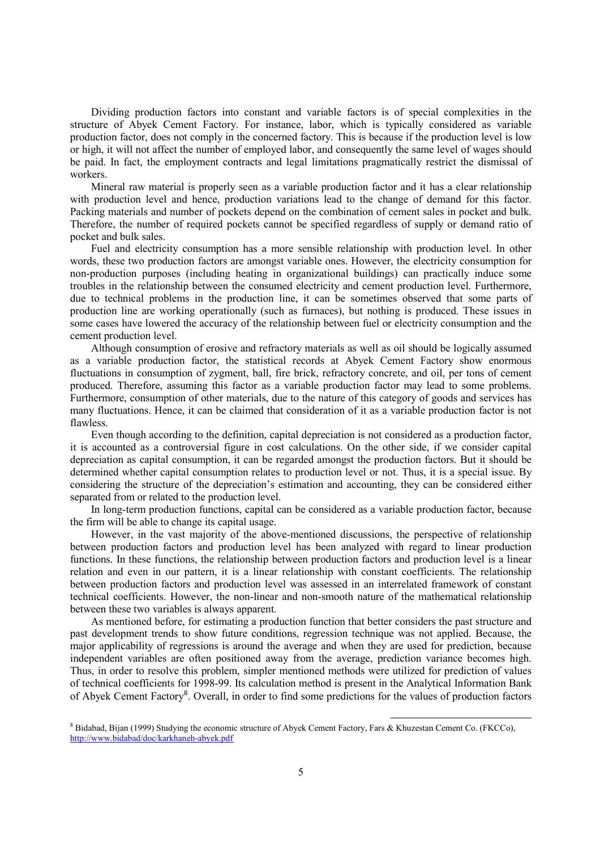Dividing production factors into constant and variable factors is of special complexities in the structure of Abyek Cement Factory. For instance, labor, which is typically considered as variable production factor, does not comply in the concerned factory. This is because if the production level is low or high, it will not affect the number of employed labor, and consequently the same level of wages should be paid. In fact, the employment contracts and legal limitations pragmatically restrict the dismissal of workers.

Mineral raw material is properly seen as a variable production factor and it has a clear relationship with production level and hence, production variations lead to the change of demand for this factor. Packing materials and number of pockets depend on the combination of cement sales in pocket and bulk. Therefore, the number of required pockets cannot be specified regardless of supply or demand ratio of pocket and bulk sales.

Fuel and electricity consumption has a more sensible relationship with production level. In other words, these two production factors are amongst variable ones. However, the electricity consumption for non-production purposes (including heating in organizational buildings) can practically induce some troubles in the relationship between the consumed electricity and cement production level. Furthermore, due to technical problems in the production line, it can be sometimes observed that some parts of production line are working operationally (such as furnaces), but nothing is produced. These issues in some cases have lowered the accuracy of the relationship between fuel or electricity consumption and the cement production level.

Although consumption of erosive and refractory materials as well as oil should be logically assumed as a variable production factor, the statistical records at Abyek Cement Factory show enormous fluctuations in consumption of zygment, ball, fire brick, refractory concrete, and oil, per tons of cement produced. Therefore, assuming this factor as a variable production factor may lead to some problems. Furthermore, consumption of other materials, due to the nature of this category of goods and services has many fluctuations. Hence, it can be claimed that consideration of it as a variable production factor is not flawless.

Even though according to the definition, capital depreciation is not considered as a production factor, it is accounted as a controversial figure in cost calculations. On the other side, if we consider capital depreciation as capital consumption, it can be regarded amongst the production factors. But it should be determined whether capital consumption relates to production level or not. Thus, it is a special issue. By considering the structure of the depreciation's estimation and accounting, they can be considered either separated from or related to the production level.

In long-term production functions, capital can be considered as a variable production factor, because the firm will be able to change its capital usage.

However, in the vast majority of the above-mentioned discussions, the perspective of relationship between production factors and production level has been analyzed with regard to linear production functions. In these functions, the relationship between production factors and production level is a linear relation and even in our pattern, it is a linear relationship with constant coefficients. The relationship between production factors and production level was assessed in an interrelated framework of constant technical coefficients. However, the non-linear and non-smooth nature of the mathematical relationship between these two variables is always apparent.

As mentioned before, for estimating a production function that better considers the past structure and past development trends to show future conditions, regression technique was not applied. Because, the major applicability of regressions is around the average and when they are used for prediction, because independent variables are often positioned away from the average, prediction variance becomes high. Thus, in order to resolve this problem, simpler mentioned methods were utilized for prediction of values of technical coefficients for 1998-99. Its calculation method is present in the Analytical Information Bank of Abyek Cement Factory<sup>8</sup>. Overall, in order to find some predictions for the values of production factors

<sup>8</sup> Bidabad, Bijan (1999) Studying the economic structure of Abyek Cement Factory, Fars & Khuzestan Cement Co. (FKCCo), <http://www.bidabad/doc/karkhaneh-abyek.pdf>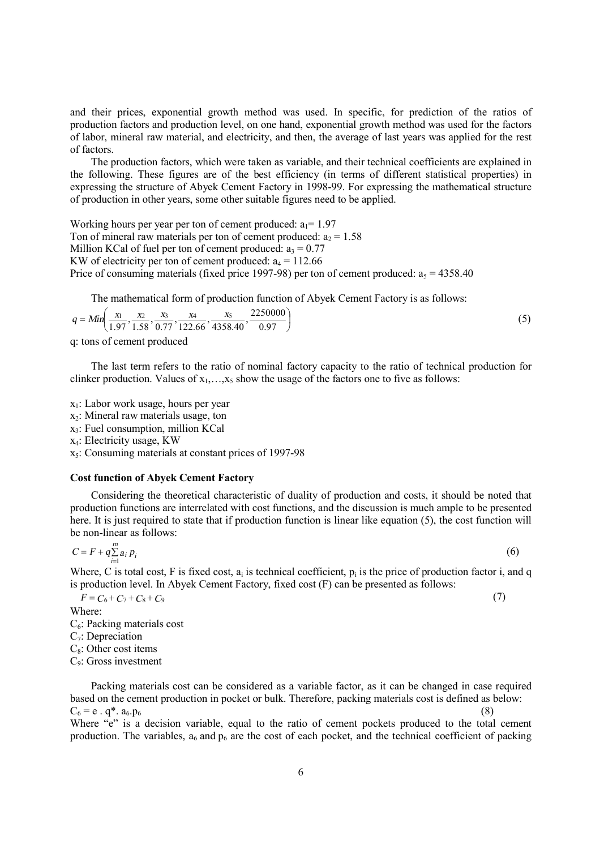and their prices, exponential growth method was used. In specific, for prediction of the ratios of production factors and production level, on one hand, exponential growth method was used for the factors of labor, mineral raw material, and electricity, and then, the average of last years was applied for the rest of factors.

The production factors, which were taken as variable, and their technical coefficients are explained in the following. These figures are of the best efficiency (in terms of different statistical properties) in expressing the structure of Abyek Cement Factory in 1998-99. For expressing the mathematical structure of production in other years, some other suitable figures need to be applied.

Working hours per year per ton of cement produced:  $a_1 = 1.97$ Ton of mineral raw materials per ton of cement produced:  $a_2 = 1.58$ Million KCal of fuel per ton of cement produced:  $a_3 = 0.77$ KW of electricity per ton of cement produced:  $a_4 = 112.66$ Price of consuming materials (fixed price 1997-98) per ton of cement produced:  $a_5 = 4358.40$ 

The mathematical form of production function of Abyek Cement Factory is as follows:

$$
q = Min\left(\frac{x_1}{1.97}, \frac{x_2}{1.58}, \frac{x_3}{0.77}, \frac{x_4}{122.66}, \frac{x_5}{4358.40}, \frac{2250000}{0.97}\right)
$$
(5)  
q: tons of cement produced

The last term refers to the ratio of nominal factory capacity to the ratio of technical production for clinker production. Values of  $x_1, \ldots, x_5$  show the usage of the factors one to five as follows:

x1: Labor work usage, hours per year

 $x<sub>2</sub>$ : Mineral raw materials usage, ton

x3: Fuel consumption, million KCal

x4: Electricity usage, KW

 $x<sub>5</sub>$ : Consuming materials at constant prices of 1997-98

## **Cost function of Abyek Cement Factory**

Considering the theoretical characteristic of duality of production and costs, it should be noted that production functions are interrelated with cost functions, and the discussion is much ample to be presented here. It is just required to state that if production function is linear like equation (5), the cost function will be non-linear as follows:

$$
C = F + q \sum_{i=1}^{m} a_i p_i
$$

Where, C is total cost, F is fixed cost,  $a_i$  is technical coefficient,  $p_i$  is the price of production factor i, and q is production level. In Abyek Cement Factory, fixed cost (F) can be presented as follows:

(7)

 $F = C_6 + C_7 + C_8 + C_9$ 

Where:

 $C_6$ : Packing materials cost

 $C_7$ : Depreciation

 $C_8$ : Other cost items

C9: Gross investment

Packing materials cost can be considered as a variable factor, as it can be changed in case required based on the cement production in pocket or bulk. Therefore, packing materials cost is defined as below:  $C_6$  = e . q<sup>\*</sup>. a<sub>6</sub>.p<sub>6</sub>

Where "e" is a decision variable, equal to the ratio of cement pockets produced to the total cement production. The variables,  $a_6$  and  $p_6$  are the cost of each pocket, and the technical coefficient of packing

(6)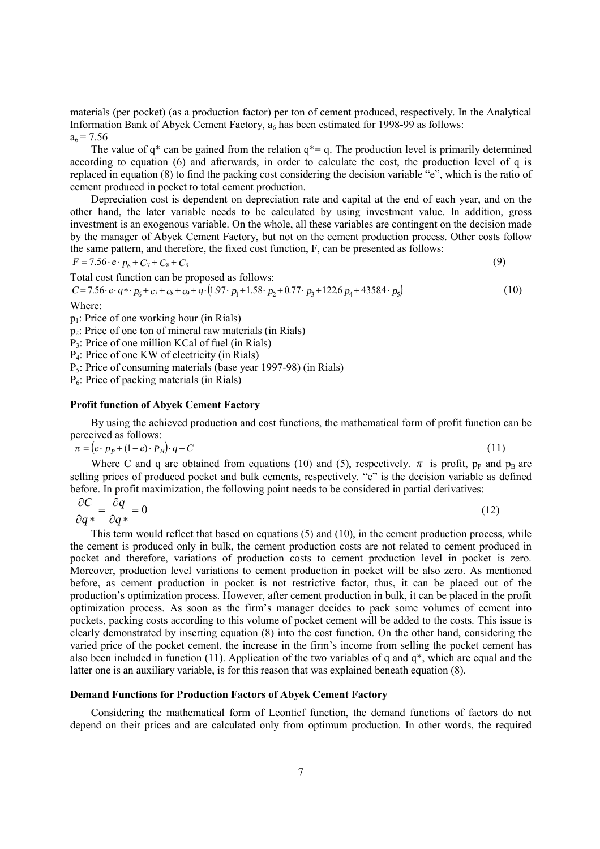materials (per pocket) (as a production factor) per ton of cement produced, respectively. In the Analytical Information Bank of Abyek Cement Factory,  $a_6$  has been estimated for 1998-99 as follows:  $a_6 = 7.56$ 

The value of  $q^*$  can be gained from the relation  $q^* = q$ . The production level is primarily determined according to equation (6) and afterwards, in order to calculate the cost, the production level of q is replaced in equation (8) to find the packing cost considering the decision variable "e", which is the ratio of cement produced in pocket to total cement production.

Depreciation cost is dependent on depreciation rate and capital at the end of each year, and on the other hand, the later variable needs to be calculated by using investment value. In addition, gross investment is an exogenous variable. On the whole, all these variables are contingent on the decision made by the manager of Abyek Cement Factory, but not on the cement production process. Other costs follow the same pattern, and therefore, the fixed cost function, F, can be presented as follows:

$$
F = 7.56 \cdot e \cdot p_6 + C_7 + C_8 + C_9 \tag{9}
$$

Total cost function can be proposed as follows:

$$
C = 7.56 \cdot e \cdot q \cdot p_6 + c_7 + c_8 + c_9 + q \cdot (1.97 \cdot p_1 + 1.58 \cdot p_2 + 0.77 \cdot p_3 + 1226 p_4 + 43584 \cdot p_5)
$$
\n
$$
(10)
$$

Where:

p1: Price of one working hour (in Rials)

 $p_2$ : Price of one ton of mineral raw materials (in Rials)

P3: Price of one million KCal of fuel (in Rials)

P4: Price of one KW of electricity (in Rials)

 $P_5$ : Price of consuming materials (base year 1997-98) (in Rials)

P6: Price of packing materials (in Rials)

#### **Profit function of Abyek Cement Factory**

By using the achieved production and cost functions, the mathematical form of profit function can be perceived as follows:

$$
\pi = (e \cdot p_p + (1 - e) \cdot p_B) \cdot q - C \tag{11}
$$

Where C and q are obtained from equations (10) and (5), respectively.  $\pi$  is profit, p<sub>P</sub> and p<sub>B</sub> are selling prices of produced pocket and bulk cements, respectively. "e" is the decision variable as defined before. In profit maximization, the following point needs to be considered in partial derivatives:

$$
\frac{\partial C}{\partial q^*} = \frac{\partial q}{\partial q^*} = 0\tag{12}
$$

This term would reflect that based on equations (5) and (10), in the cement production process, while the cement is produced only in bulk, the cement production costs are not related to cement produced in pocket and therefore, variations of production costs to cement production level in pocket is zero. Moreover, production level variations to cement production in pocket will be also zero. As mentioned before, as cement production in pocket is not restrictive factor, thus, it can be placed out of the production's optimization process. However, after cement production in bulk, it can be placed in the profit optimization process. As soon as the firm's manager decides to pack some volumes of cement into pockets, packing costs according to this volume of pocket cement will be added to the costs. This issue is clearly demonstrated by inserting equation (8) into the cost function. On the other hand, considering the varied price of the pocket cement, the increase in the firm's income from selling the pocket cement has also been included in function (11). Application of the two variables of q and q\*, which are equal and the latter one is an auxiliary variable, is for this reason that was explained beneath equation (8).

## **Demand Functions for Production Factors of Abyek Cement Factory**

Considering the mathematical form of Leontief function, the demand functions of factors do not depend on their prices and are calculated only from optimum production. In other words, the required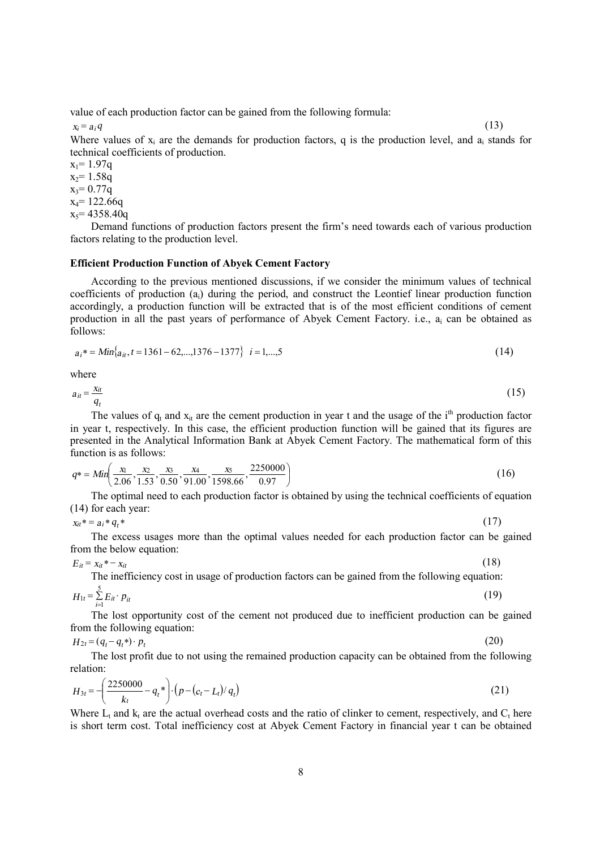value of each production factor can be gained from the following formula:

 $x_i = a_i q$  (13)

Where values of  $x_i$  are the demands for production factors, q is the production level, and  $a_i$  stands for technical coefficients of production.

 $x_1 = 1.97q$  $x_2$ = 1.58q  $x_3 = 0.77q$  $x_4$ = 122.66q  $x_5$  = 4358.40q

Demand functions of production factors present the firm's need towards each of various production factors relating to the production level.

## **Efficient Production Function of Abyek Cement Factory**

According to the previous mentioned discussions, if we consider the minimum values of technical coefficients of production (ai) during the period, and construct the Leontief linear production function accordingly, a production function will be extracted that is of the most efficient conditions of cement production in all the past years of performance of Abyek Cement Factory. i.e., a<sup>i</sup> can be obtained as follows:

$$
a_i^* = Min\{a_{it}, t = 1361 - 62, \dots, 1376 - 1377\} \quad i = 1, \dots, 5
$$
 (14)

where

$$
a_{it} = \frac{x_{it}}{q_t} \tag{15}
$$

The values of  $q_t$  and  $x_{it}$  are the cement production in year t and the usage of the i<sup>th</sup> production factor in year t, respectively. In this case, the efficient production function will be gained that its figures are presented in the Analytical Information Bank at Abyek Cement Factory. The mathematical form of this function is as follows:

$$
q* = Min\left(\frac{x_1}{2.06}, \frac{x_2}{1.53}, \frac{x_3}{0.50}, \frac{x_4}{91.00}, \frac{x_5}{1598.66}, \frac{2250000}{0.97}\right)
$$
(16)

The optimal need to each production factor is obtained by using the technical coefficients of equation (14) for each year:

$$
x_{it} = a_i * q_t * \tag{17}
$$

The excess usages more than the optimal values needed for each production factor can be gained from the below equation:

(18)

 $E_{it} = x_{it} * - x_{it}$ 

The inefficiency cost in usage of production factors can be gained from the following equation:

$$
H_{1t} = \sum_{i=1}^{5} E_{it} \cdot p_{it} \tag{19}
$$

The lost opportunity cost of the cement not produced due to inefficient production can be gained from the following equation:

$$
H_{2t} = (q_t - q_t^*) \cdot p_t \tag{20}
$$

The lost profit due to not using the remained production capacity can be obtained from the following relation:

$$
H_{3t} = -\left(\frac{2250000}{k_t} - q_t^*\right) \cdot \left(p - (c_t - L_t)/q_t\right) \tag{21}
$$

Where  $L_t$  and  $k_t$  are the actual overhead costs and the ratio of clinker to cement, respectively, and  $C_t$  here is short term cost. Total inefficiency cost at Abyek Cement Factory in financial year t can be obtained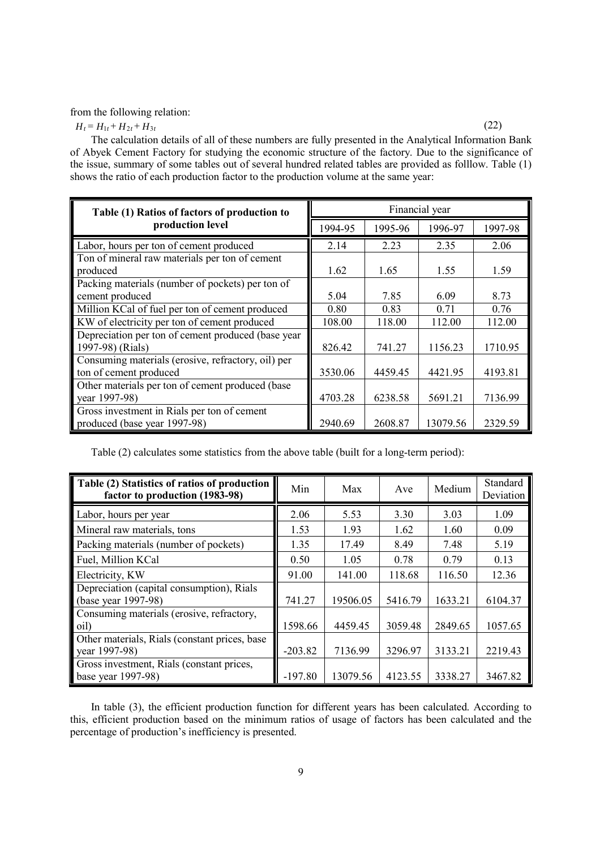from the following relation:

 $H_t = H_{1t} + H_{2t} + H_{3t}$  $(22)$ 

The calculation details of all of these numbers are fully presented in the Analytical Information Bank of Abyek Cement Factory for studying the economic structure of the factory. Due to the significance of the issue, summary of some tables out of several hundred related tables are provided as folllow. Table (1) shows the ratio of each production factor to the production volume at the same year:

| Table (1) Ratios of factors of production to       | Financial year |         |          |         |  |
|----------------------------------------------------|----------------|---------|----------|---------|--|
| production level                                   | 1994-95        | 1995-96 | 1996-97  | 1997-98 |  |
| Labor, hours per ton of cement produced            | 2.14           | 2.23    | 2.35     | 2.06    |  |
| Ton of mineral raw materials per ton of cement     |                |         |          |         |  |
| produced                                           | 1.62           | 1.65    | 1.55     | 1.59    |  |
| Packing materials (number of pockets) per ton of   |                |         |          |         |  |
| cement produced                                    | 5.04           | 7.85    | 6.09     | 8.73    |  |
| Million KCal of fuel per ton of cement produced    | 0.80           | 0.83    | 0.71     | 0.76    |  |
| KW of electricity per ton of cement produced       | 108.00         | 118.00  | 112.00   | 112.00  |  |
| Depreciation per ton of cement produced (base year |                |         |          |         |  |
| 1997-98) (Rials)                                   | 826.42         | 741.27  | 1156.23  | 1710.95 |  |
| Consuming materials (erosive, refractory, oil) per |                |         |          |         |  |
| ton of cement produced                             | 3530.06        | 4459.45 | 4421.95  | 4193.81 |  |
| Other materials per ton of cement produced (base   |                |         |          |         |  |
| year 1997-98)                                      | 4703.28        | 6238.58 | 5691.21  | 7136.99 |  |
| Gross investment in Rials per ton of cement        |                |         |          |         |  |
| produced (base year 1997-98)                       | 2940.69        | 2608.87 | 13079.56 | 2329.59 |  |

Table (2) calculates some statistics from the above table (built for a long-term period):

| Table (2) Statistics of ratios of production<br>factor to production (1983-98) | Min       | Max      | Ave     | Medium  | Standard<br>Deviation |
|--------------------------------------------------------------------------------|-----------|----------|---------|---------|-----------------------|
| Labor, hours per year                                                          | 2.06      | 5.53     | 3.30    | 3.03    | 1.09                  |
| Mineral raw materials, tons                                                    | 1.53      | 1.93     | 1.62    | 1.60    | 0.09                  |
| Packing materials (number of pockets)                                          | 1.35      | 17.49    | 8.49    | 7.48    | 5.19                  |
| Fuel, Million KCal                                                             | 0.50      | 1.05     | 0.78    | 0.79    | 0.13                  |
| Electricity, KW                                                                | 91.00     | 141.00   | 118.68  | 116.50  | 12.36                 |
| Depreciation (capital consumption), Rials                                      |           |          |         |         |                       |
| (base year 1997-98)                                                            | 741.27    | 19506.05 | 5416.79 | 1633.21 | 6104.37               |
| Consuming materials (erosive, refractory,                                      |           |          |         |         |                       |
| oil)                                                                           | 1598.66   | 4459.45  | 3059.48 | 2849.65 | 1057.65               |
| Other materials, Rials (constant prices, base)                                 |           |          |         |         |                       |
| year 1997-98)                                                                  | $-203.82$ | 7136.99  | 3296.97 | 3133.21 | 2219.43               |
| Gross investment, Rials (constant prices,                                      |           |          |         |         |                       |
| base year 1997-98)                                                             | $-197.80$ | 13079.56 | 4123.55 | 3338.27 | 3467.82               |

In table (3), the efficient production function for different years has been calculated. According to this, efficient production based on the minimum ratios of usage of factors has been calculated and the percentage of production's inefficiency is presented.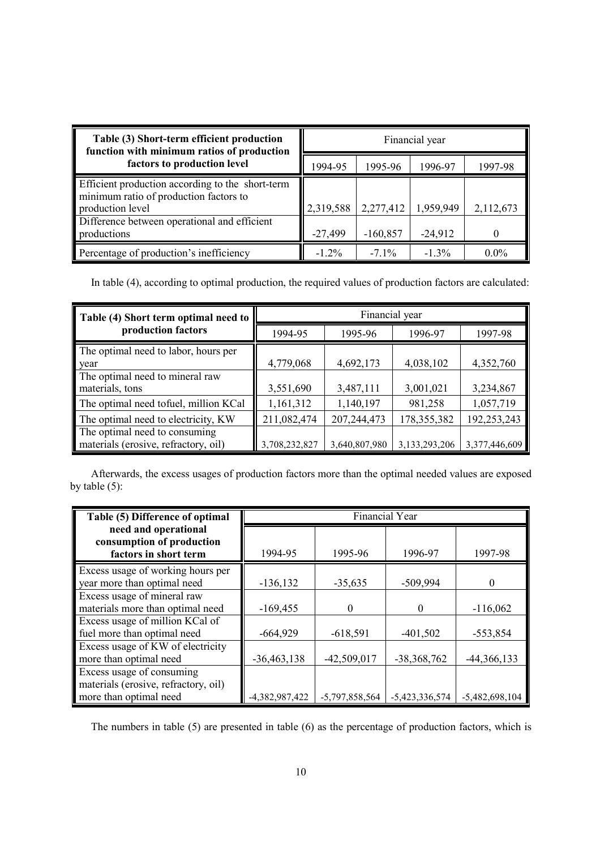| Table (3) Short-term efficient production<br>function with minimum ratios of production                                                                        | Financial year |            |           |           |  |
|----------------------------------------------------------------------------------------------------------------------------------------------------------------|----------------|------------|-----------|-----------|--|
| factors to production level                                                                                                                                    | 1994-95        | 1995-96    | 1996-97   | 1997-98   |  |
| Efficient production according to the short-term<br>minimum ratio of production factors to<br>production level<br>Difference between operational and efficient | 2,319,588      | 2,277,412  | 1,959,949 | 2,112,673 |  |
| productions                                                                                                                                                    | $-27,499$      | $-160,857$ | $-24,912$ |           |  |
| Percentage of production's inefficiency                                                                                                                        | $-1.2\%$       | $-71\%$    | $-1.3\%$  | $0.0\%$   |  |

In table (4), according to optimal production, the required values of production factors are calculated:

| Table (4) Short term optimal need to  | Financial year |               |               |               |  |  |
|---------------------------------------|----------------|---------------|---------------|---------------|--|--|
| production factors                    | 1994-95        | 1995-96       | 1996-97       | 1997-98       |  |  |
| The optimal need to labor, hours per  |                |               |               |               |  |  |
| year                                  | 4,779,068      | 4,692,173     | 4,038,102     | 4,352,760     |  |  |
| The optimal need to mineral raw       |                |               |               |               |  |  |
| materials, tons                       | 3,551,690      | 3,487,111     | 3,001,021     | 3,234,867     |  |  |
| The optimal need tofuel, million KCal | 1,161,312      | 1,140,197     | 981,258       | 1,057,719     |  |  |
| The optimal need to electricity, KW   | 211,082,474    | 207, 244, 473 | 178, 355, 382 | 192,253,243   |  |  |
| The optimal need to consuming         |                |               |               |               |  |  |
| materials (erosive, refractory, oil)  | 3,708,232,827  | 3,640,807,980 | 3,133,293,206 | 3,377,446,609 |  |  |

Afterwards, the excess usages of production factors more than the optimal needed values are exposed by table (5):

| Table (5) Difference of optimal                                            | Financial Year |                  |                  |                  |  |
|----------------------------------------------------------------------------|----------------|------------------|------------------|------------------|--|
| need and operational<br>consumption of production<br>factors in short term | 1994-95        | 1995-96          | 1996-97          | 1997-98          |  |
| Excess usage of working hours per                                          |                |                  |                  |                  |  |
| year more than optimal need                                                | $-136, 132$    | $-35,635$        | $-509,994$       |                  |  |
| Excess usage of mineral raw                                                |                |                  |                  |                  |  |
| materials more than optimal need                                           | $-169,455$     |                  |                  | $-116,062$       |  |
| Excess usage of million KCal of                                            |                |                  |                  |                  |  |
| fuel more than optimal need                                                | $-664,929$     | $-618,591$       | $-401,502$       | $-553,854$       |  |
| Excess usage of KW of electricity                                          |                |                  |                  |                  |  |
| more than optimal need                                                     | $-36,463,138$  | $-42,509,017$    | $-38,368,762$    | $-44,366,133$    |  |
| Excess usage of consuming                                                  |                |                  |                  |                  |  |
| materials (erosive, refractory, oil)                                       |                |                  |                  |                  |  |
| more than optimal need                                                     | -4,382,987,422 | $-5,797,858,564$ | $-5,423,336,574$ | $-5,482,698,104$ |  |

The numbers in table (5) are presented in table (6) as the percentage of production factors, which is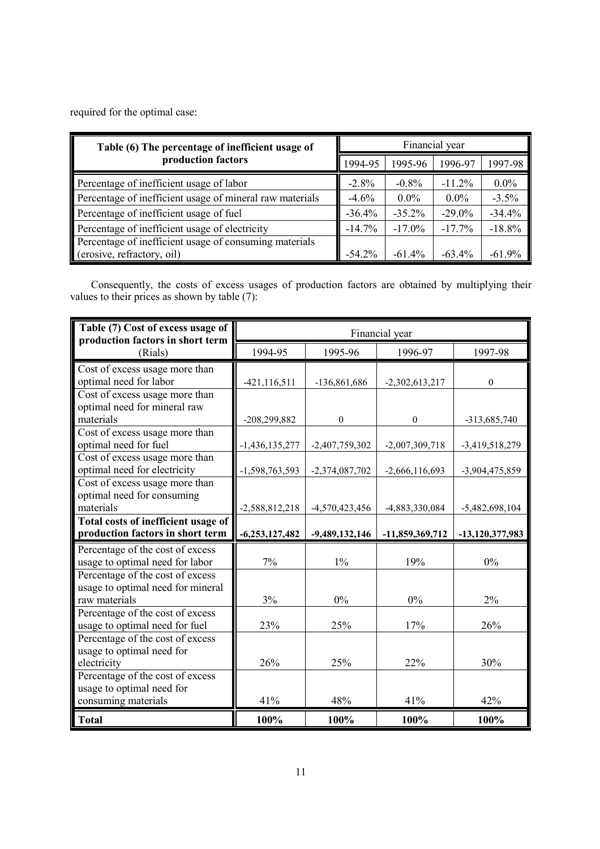required for the optimal case:

| Table (6) The percentage of inefficient usage of<br>production factors |           | Financial year |           |           |  |  |
|------------------------------------------------------------------------|-----------|----------------|-----------|-----------|--|--|
|                                                                        |           | 1995-96        | 1996-97   | 1997-98   |  |  |
| Percentage of inefficient usage of labor                               | $-2.8%$   | $-0.8\%$       | $-11.2\%$ | $0.0\%$   |  |  |
| Percentage of inefficient usage of mineral raw materials               |           | $0.0\%$        | $0.0\%$   | $-3.5\%$  |  |  |
| Percentage of inefficient usage of fuel                                |           | $-35.2%$       | $-29.0\%$ | $-34.4%$  |  |  |
| Percentage of inefficient usage of electricity                         |           | $-17.0\%$      | $-17.7\%$ | $-18.8%$  |  |  |
| Percentage of inefficient usage of consuming materials                 |           |                |           |           |  |  |
| (erosive, refractory, oil)                                             | $-54.2\%$ | $-61.4\%$      | $-63.4%$  | $-61.9\%$ |  |  |

Consequently, the costs of excess usages of production factors are obtained by multiplying their values to their prices as shown by table (7):

| Table (7) Cost of excess usage of<br>production factors in short term | Financial year   |                  |                  |                   |
|-----------------------------------------------------------------------|------------------|------------------|------------------|-------------------|
| (Rials)                                                               | 1994-95          | 1995-96          | 1996-97          | 1997-98           |
| Cost of excess usage more than                                        |                  |                  |                  |                   |
| optimal need for labor                                                | $-421, 116, 511$ | -136,861,686     | $-2,302,613,217$ | $\theta$          |
| Cost of excess usage more than                                        |                  |                  |                  |                   |
| optimal need for mineral raw                                          |                  |                  |                  |                   |
| materials                                                             | -208,299,882     | $\boldsymbol{0}$ | $\theta$         | -313,685,740      |
| Cost of excess usage more than                                        |                  |                  |                  |                   |
| optimal need for fuel                                                 | $-1,436,135,277$ | $-2,407,759,302$ | $-2,007,309,718$ | $-3,419,518,279$  |
| Cost of excess usage more than                                        |                  |                  |                  |                   |
| optimal need for electricity                                          | $-1,598,763,593$ | -2,374,087,702   | $-2,666,116,693$ | -3,904,475,859    |
| Cost of excess usage more than                                        |                  |                  |                  |                   |
| optimal need for consuming                                            |                  |                  |                  |                   |
| materials                                                             | -2,588,812,218   | -4,570,423,456   | -4,883,330,084   | $-5,482,698,104$  |
| Total costs of inefficient usage of                                   |                  |                  |                  |                   |
| production factors in short term                                      | $-6,253,127,482$ | $-9,489,132,146$ | -11,859,369,712  | $-13,120,377,983$ |
| Percentage of the cost of excess                                      |                  |                  |                  |                   |
| usage to optimal need for labor                                       | 7%               | 1%               | 19%              | 0%                |
| Percentage of the cost of excess                                      |                  |                  |                  |                   |
| usage to optimal need for mineral                                     |                  |                  |                  |                   |
| raw materials                                                         | 3%               | 0%               | 0%               | 2%                |
| Percentage of the cost of excess                                      |                  |                  |                  |                   |
| usage to optimal need for fuel                                        | 23%              | 25%              | 17%              | 26%               |
| Percentage of the cost of excess                                      |                  |                  |                  |                   |
| usage to optimal need for                                             |                  |                  |                  |                   |
| electricity                                                           | 26%              | 25%              | 22%              | 30%               |
| Percentage of the cost of excess                                      |                  |                  |                  |                   |
| usage to optimal need for                                             |                  |                  |                  |                   |
| consuming materials                                                   | 41%              | 48%              | 41%              | 42%               |
| <b>Total</b>                                                          | 100%             | 100%             | 100%             | 100%              |